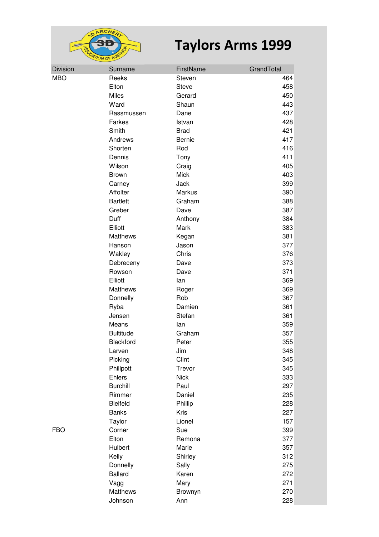

| <b>Division</b> | Surname          | FirstName     | GrandTotal |
|-----------------|------------------|---------------|------------|
| <b>MBO</b>      | Reeks            | Steven        | 464        |
|                 | Elton            | <b>Steve</b>  | 458        |
|                 | <b>Miles</b>     | Gerard        | 450        |
|                 | Ward             | Shaun         | 443        |
|                 | Rassmussen       | Dane          | 437        |
|                 | Farkes           | Istvan        | 428        |
|                 | Smith            | <b>Brad</b>   | 421        |
|                 | Andrews          | Bernie        | 417        |
|                 | Shorten          | Rod           | 416        |
|                 | Dennis           | Tony          | 411        |
|                 | Wilson           | Craig         | 405        |
|                 | <b>Brown</b>     | <b>Mick</b>   | 403        |
|                 | Carney           | Jack          | 399        |
|                 | Affolter         | <b>Markus</b> | 390        |
|                 | <b>Bartlett</b>  | Graham        | 388        |
|                 | Greber           | Dave          | 387        |
|                 | Duff             | Anthony       | 384        |
|                 | Elliott          | Mark          | 383        |
|                 | Matthews         | Kegan         | 381        |
|                 | Hanson           | Jason         | 377        |
|                 | Wakley           | Chris         | 376        |
|                 | Debreceny        | Dave          | 373        |
|                 | Rowson           | Dave          | 371        |
|                 | Elliott          | lan           | 369        |
|                 | Matthews         | Roger         | 369        |
|                 | Donnelly         | Rob           | 367        |
|                 | Ryba             | Damien        | 361        |
|                 | Jensen           | Stefan        | 361        |
|                 | Means            | lan           | 359        |
|                 | <b>Bultitude</b> | Graham        | 357        |
|                 | Blackford        | Peter         | 355        |
|                 | Larven           | Jim           | 348        |
|                 | Picking          | Clint         | 345        |
|                 | Phillpott        | Trevor        | 345        |
|                 | Ehlers           | <b>Nick</b>   | 333        |
|                 | <b>Burchill</b>  | Paul          | 297        |
|                 | Rimmer           | Daniel        | 235        |
|                 | <b>Bielfeld</b>  | Phillip       | 228        |
|                 | <b>Banks</b>     | Kris          | 227        |
|                 | Taylor           | Lionel        | 157        |
| <b>FBO</b>      | Corner           | Sue           | 399        |
|                 | Elton            | Remona        | 377        |
|                 | Hulbert          | Marie         | 357        |
|                 | Kelly            | Shirley       | 312        |
|                 | Donnelly         | Sally         | 275        |
|                 | <b>Ballard</b>   | Karen         | 272        |
|                 | Vagg             | Mary          | 271        |
|                 | Matthews         | Brownyn       | 270        |
|                 | Johnson          | Ann           | 228        |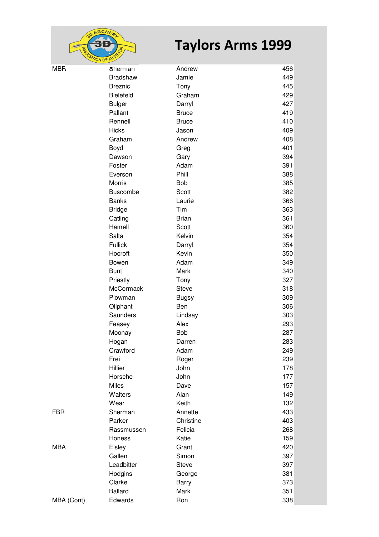

|            | $\frac{1}{2}$ ON OF $\mathbb{R}$ |              |     |
|------------|----------------------------------|--------------|-----|
| <b>MBR</b> | Sherman                          | Andrew       | 456 |
|            | <b>Bradshaw</b>                  | Jamie        | 449 |
|            | <b>Breznic</b>                   | Tony         | 445 |
|            | <b>Bielefeld</b>                 | Graham       | 429 |
|            | <b>Bulger</b>                    | Darryl       | 427 |
|            | Pallant                          | <b>Bruce</b> | 419 |
|            | Rennell                          | <b>Bruce</b> | 410 |
|            | <b>Hicks</b>                     | Jason        | 409 |
|            | Graham                           | Andrew       | 408 |
|            | Boyd                             | Greg         | 401 |
|            | Dawson                           | Gary         | 394 |
|            | Foster                           | Adam         | 391 |
|            | Everson                          | Phill        | 388 |
|            | <b>Morris</b>                    | Bob          | 385 |
|            | <b>Buscombe</b>                  | Scott        | 382 |
|            | <b>Banks</b>                     | Laurie       | 366 |
|            | <b>Bridge</b>                    | Tim          | 363 |
|            | Catling                          | <b>Brian</b> | 361 |
|            | Hamell                           | Scott        | 360 |
|            | Salta                            | Kelvin       | 354 |
|            | <b>Fullick</b>                   | Darryl       | 354 |
|            | Hocroft                          | Kevin        | 350 |
|            | Bowen                            | Adam         | 349 |
|            | <b>Bunt</b>                      | Mark         | 340 |
|            | Priestly                         | Tony         | 327 |
|            | McCormack                        | <b>Steve</b> | 318 |
|            | Plowman                          | <b>Bugsy</b> | 309 |
|            | Oliphant                         | Ben          | 306 |
|            | Saunders                         | Lindsay      | 303 |
|            | Feasey                           | Alex         | 293 |
|            | Moonay                           | Bob          | 287 |
|            | Hogan                            | Darren       | 283 |
|            | Crawford                         | Adam         | 249 |
|            | Frei                             | Roger        | 239 |
|            | Hillier                          | John         | 178 |
|            | Horsche                          | John         | 177 |
|            | Miles                            | Dave         | 157 |
|            | Walters                          | Alan         | 149 |
|            | Wear                             | Keith        | 132 |
| <b>FBR</b> | Sherman                          | Annette      | 433 |
|            | Parker                           | Christine    | 403 |
|            | Rassmussen                       | Felicia      | 268 |
|            | Honess                           | Katie        | 159 |
| <b>MBA</b> | Elsley                           | Grant        | 420 |
|            | Gallen                           | Simon        | 397 |
|            | Leadbitter                       | <b>Steve</b> | 397 |
|            | Hodgins                          | George       | 381 |
|            | Clarke                           | Barry        | 373 |
|            | <b>Ballard</b>                   | Mark         | 351 |
| MBA (Cont) | Edwards                          | Ron          | 338 |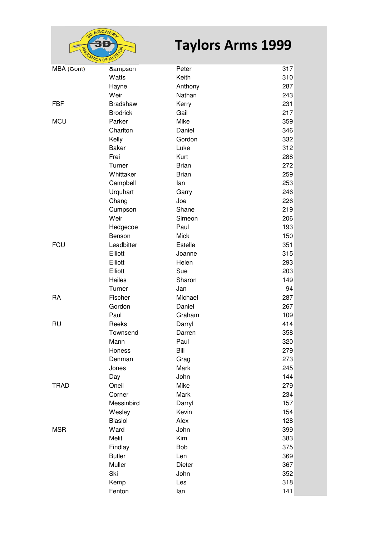

| MBA (Cont)  | Sampson         | Peter        | 317 |
|-------------|-----------------|--------------|-----|
|             | Watts           | Keith        | 310 |
|             | Hayne           | Anthony      | 287 |
|             | Weir            | Nathan       | 243 |
| FBF         | <b>Bradshaw</b> | Kerry        | 231 |
|             | <b>Brodrick</b> | Gail         | 217 |
| MCU         | Parker          | Mike         | 359 |
|             | Charlton        | Daniel       | 346 |
|             | Kelly           | Gordon       | 332 |
|             | <b>Baker</b>    | Luke         | 312 |
|             | Frei            | Kurt         | 288 |
|             | Turner          | <b>Brian</b> | 272 |
|             | Whittaker       | <b>Brian</b> | 259 |
|             | Campbell        | lan          | 253 |
|             | Urquhart        | Garry        | 246 |
|             | Chang           | Joe          | 226 |
|             | Cumpson         | Shane        | 219 |
|             | Weir            | Simeon       | 206 |
|             | Hedgecoe        | Paul         | 193 |
|             | Benson          | <b>Mick</b>  | 150 |
| FCU         | Leadbitter      | Estelle      | 351 |
|             | Elliott         | Joanne       | 315 |
|             | Elliott         | Helen        | 293 |
|             | Elliott         | Sue          | 203 |
|             | Hailes          | Sharon       | 149 |
|             | Turner          | Jan          | 94  |
| RA          | Fischer         | Michael      | 287 |
|             | Gordon          | Daniel       | 267 |
|             | Paul            | Graham       | 109 |
| RU          | Reeks           | Darryl       | 414 |
|             | Townsend        | Darren       | 358 |
|             | Mann            | Paul         | 320 |
|             | Honess          | Bill         | 279 |
|             | Denman          | Grag         | 273 |
|             | Jones           | Mark         | 245 |
|             | Day             | John         | 144 |
| <b>TRAD</b> | Oneil           | Mike         | 279 |
|             | Corner          | Mark         | 234 |
|             | Messinbird      | Darryl       | 157 |
|             | Wesley          | Kevin        | 154 |
|             | <b>Biasiol</b>  | Alex         | 128 |
| <b>MSR</b>  | Ward            | John         | 399 |
|             | Melit           | Kim          | 383 |
|             | Findlay         | Bob          | 375 |
|             | <b>Butler</b>   | Len          | 369 |
|             | Muller          | Dieter       | 367 |
|             | Ski             | John         | 352 |
|             | Kemp            | Les          | 318 |
|             | Fenton          | lan          | 141 |